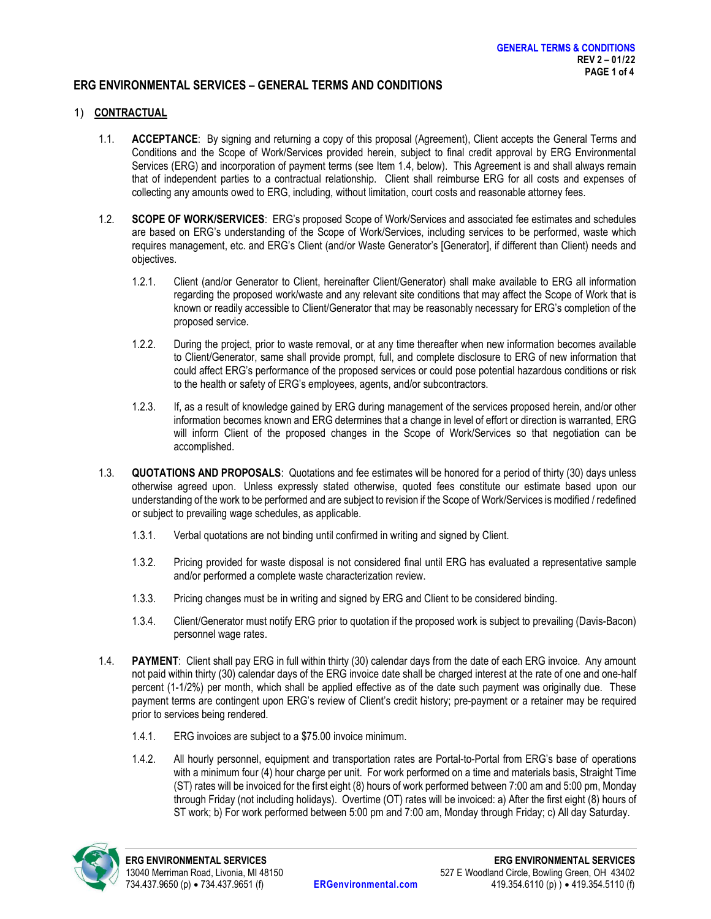### ERG ENVIRONMENTAL SERVICES – GENERAL TERMS AND CONDITIONS

#### 1) CONTRACTUAL

- 1.1. ACCEPTANCE: By signing and returning a copy of this proposal (Agreement), Client accepts the General Terms and Conditions and the Scope of Work/Services provided herein, subject to final credit approval by ERG Environmental Services (ERG) and incorporation of payment terms (see Item 1.4, below). This Agreement is and shall always remain that of independent parties to a contractual relationship. Client shall reimburse ERG for all costs and expenses of collecting any amounts owed to ERG, including, without limitation, court costs and reasonable attorney fees.
- 1.2. SCOPE OF WORK/SERVICES: ERG's proposed Scope of Work/Services and associated fee estimates and schedules are based on ERG's understanding of the Scope of Work/Services, including services to be performed, waste which requires management, etc. and ERG's Client (and/or Waste Generator's [Generator], if different than Client) needs and objectives.
	- 1.2.1. Client (and/or Generator to Client, hereinafter Client/Generator) shall make available to ERG all information regarding the proposed work/waste and any relevant site conditions that may affect the Scope of Work that is known or readily accessible to Client/Generator that may be reasonably necessary for ERG's completion of the proposed service.
	- 1.2.2. During the project, prior to waste removal, or at any time thereafter when new information becomes available to Client/Generator, same shall provide prompt, full, and complete disclosure to ERG of new information that could affect ERG's performance of the proposed services or could pose potential hazardous conditions or risk to the health or safety of ERG's employees, agents, and/or subcontractors.
	- 1.2.3. If, as a result of knowledge gained by ERG during management of the services proposed herein, and/or other information becomes known and ERG determines that a change in level of effort or direction is warranted, ERG will inform Client of the proposed changes in the Scope of Work/Services so that negotiation can be accomplished.
- 1.3. QUOTATIONS AND PROPOSALS: Quotations and fee estimates will be honored for a period of thirty (30) days unless otherwise agreed upon. Unless expressly stated otherwise, quoted fees constitute our estimate based upon our understanding of the work to be performed and are subject to revision if the Scope of Work/Services is modified / redefined or subject to prevailing wage schedules, as applicable.
	- 1.3.1. Verbal quotations are not binding until confirmed in writing and signed by Client.
	- 1.3.2. Pricing provided for waste disposal is not considered final until ERG has evaluated a representative sample and/or performed a complete waste characterization review.
	- 1.3.3. Pricing changes must be in writing and signed by ERG and Client to be considered binding.
	- 1.3.4. Client/Generator must notify ERG prior to quotation if the proposed work is subject to prevailing (Davis-Bacon) personnel wage rates.
- 1.4. PAYMENT: Client shall pay ERG in full within thirty (30) calendar days from the date of each ERG invoice. Any amount not paid within thirty (30) calendar days of the ERG invoice date shall be charged interest at the rate of one and one-half percent (1-1/2%) per month, which shall be applied effective as of the date such payment was originally due. These payment terms are contingent upon ERG's review of Client's credit history; pre-payment or a retainer may be required prior to services being rendered.
	- 1.4.1. ERG invoices are subject to a \$75.00 invoice minimum.
	- 1.4.2. All hourly personnel, equipment and transportation rates are Portal-to-Portal from ERG's base of operations with a minimum four (4) hour charge per unit. For work performed on a time and materials basis, Straight Time (ST) rates will be invoiced for the first eight (8) hours of work performed between 7:00 am and 5:00 pm, Monday through Friday (not including holidays). Overtime (OT) rates will be invoiced: a) After the first eight (8) hours of ST work; b) For work performed between 5:00 pm and 7:00 am, Monday through Friday; c) All day Saturday.

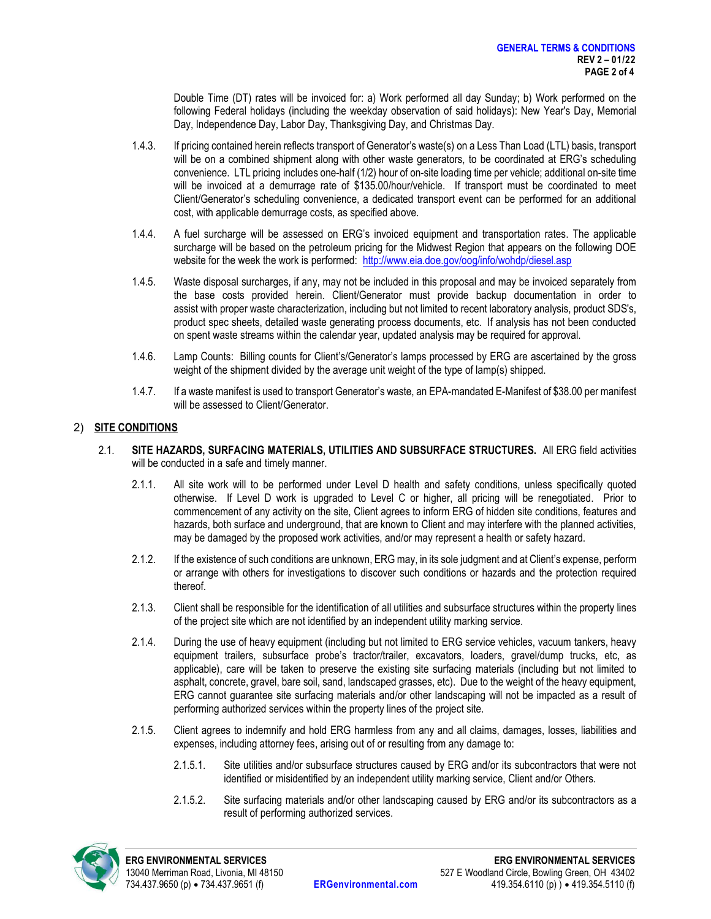Double Time (DT) rates will be invoiced for: a) Work performed all day Sunday; b) Work performed on the following Federal holidays (including the weekday observation of said holidays): New Year's Day, Memorial Day, Independence Day, Labor Day, Thanksgiving Day, and Christmas Day.

- 1.4.3. If pricing contained herein reflects transport of Generator's waste(s) on a Less Than Load (LTL) basis, transport will be on a combined shipment along with other waste generators, to be coordinated at ERG's scheduling convenience. LTL pricing includes one-half (1/2) hour of on-site loading time per vehicle; additional on-site time will be invoiced at a demurrage rate of \$135.00/hour/vehicle. If transport must be coordinated to meet Client/Generator's scheduling convenience, a dedicated transport event can be performed for an additional cost, with applicable demurrage costs, as specified above.
- 1.4.4. A fuel surcharge will be assessed on ERG's invoiced equipment and transportation rates. The applicable surcharge will be based on the petroleum pricing for the Midwest Region that appears on the following DOE website for the week the work is performed: http://www.eia.doe.gov/oog/info/wohdp/diesel.asp
- 1.4.5. Waste disposal surcharges, if any, may not be included in this proposal and may be invoiced separately from the base costs provided herein. Client/Generator must provide backup documentation in order to assist with proper waste characterization, including but not limited to recent laboratory analysis, product SDS's, product spec sheets, detailed waste generating process documents, etc. If analysis has not been conducted on spent waste streams within the calendar year, updated analysis may be required for approval.
- 1.4.6. Lamp Counts: Billing counts for Client's/Generator's lamps processed by ERG are ascertained by the gross weight of the shipment divided by the average unit weight of the type of lamp(s) shipped.
- 1.4.7. If a waste manifest is used to transport Generator's waste, an EPA-mandated E-Manifest of \$38.00 per manifest will be assessed to Client/Generator.

# 2) SITE CONDITIONS

- 2.1. SITE HAZARDS, SURFACING MATERIALS, UTILITIES AND SUBSURFACE STRUCTURES. All ERG field activities will be conducted in a safe and timely manner.
	- 2.1.1. All site work will to be performed under Level D health and safety conditions, unless specifically quoted otherwise. If Level D work is upgraded to Level C or higher, all pricing will be renegotiated. Prior to commencement of any activity on the site, Client agrees to inform ERG of hidden site conditions, features and hazards, both surface and underground, that are known to Client and may interfere with the planned activities, may be damaged by the proposed work activities, and/or may represent a health or safety hazard.
	- 2.1.2. If the existence of such conditions are unknown, ERG may, in its sole judgment and at Client's expense, perform or arrange with others for investigations to discover such conditions or hazards and the protection required thereof.
	- 2.1.3. Client shall be responsible for the identification of all utilities and subsurface structures within the property lines of the project site which are not identified by an independent utility marking service.
	- 2.1.4. During the use of heavy equipment (including but not limited to ERG service vehicles, vacuum tankers, heavy equipment trailers, subsurface probe's tractor/trailer, excavators, loaders, gravel/dump trucks, etc, as applicable), care will be taken to preserve the existing site surfacing materials (including but not limited to asphalt, concrete, gravel, bare soil, sand, landscaped grasses, etc). Due to the weight of the heavy equipment, ERG cannot guarantee site surfacing materials and/or other landscaping will not be impacted as a result of performing authorized services within the property lines of the project site.
	- 2.1.5. Client agrees to indemnify and hold ERG harmless from any and all claims, damages, losses, liabilities and expenses, including attorney fees, arising out of or resulting from any damage to:
		- 2.1.5.1. Site utilities and/or subsurface structures caused by ERG and/or its subcontractors that were not identified or misidentified by an independent utility marking service, Client and/or Others.
		- 2.1.5.2. Site surfacing materials and/or other landscaping caused by ERG and/or its subcontractors as a result of performing authorized services.

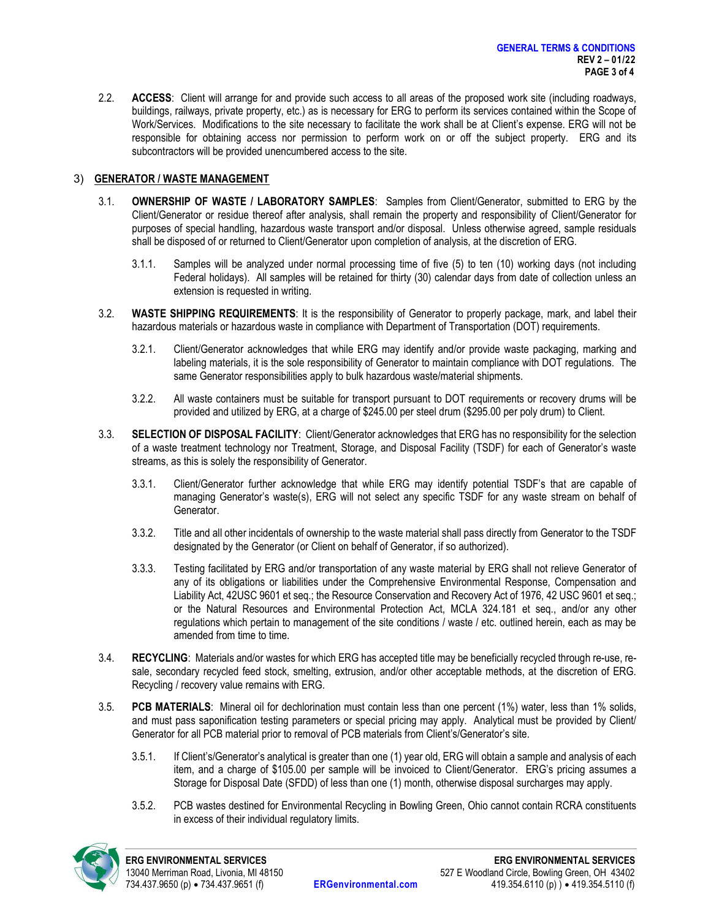2.2. **ACCESS:** Client will arrange for and provide such access to all areas of the proposed work site (including roadways, buildings, railways, private property, etc.) as is necessary for ERG to perform its services contained within the Scope of Work/Services. Modifications to the site necessary to facilitate the work shall be at Client's expense. ERG will not be responsible for obtaining access nor permission to perform work on or off the subject property. ERG and its subcontractors will be provided unencumbered access to the site.

## 3) GENERATOR / WASTE MANAGEMENT

- 3.1. OWNERSHIP OF WASTE / LABORATORY SAMPLES: Samples from Client/Generator, submitted to ERG by the Client/Generator or residue thereof after analysis, shall remain the property and responsibility of Client/Generator for purposes of special handling, hazardous waste transport and/or disposal. Unless otherwise agreed, sample residuals shall be disposed of or returned to Client/Generator upon completion of analysis, at the discretion of ERG.
	- 3.1.1. Samples will be analyzed under normal processing time of five (5) to ten (10) working days (not including Federal holidays). All samples will be retained for thirty (30) calendar days from date of collection unless an extension is requested in writing.
- 3.2. WASTE SHIPPING REQUIREMENTS: It is the responsibility of Generator to properly package, mark, and label their hazardous materials or hazardous waste in compliance with Department of Transportation (DOT) requirements.
	- 3.2.1. Client/Generator acknowledges that while ERG may identify and/or provide waste packaging, marking and labeling materials, it is the sole responsibility of Generator to maintain compliance with DOT regulations. The same Generator responsibilities apply to bulk hazardous waste/material shipments.
	- 3.2.2. All waste containers must be suitable for transport pursuant to DOT requirements or recovery drums will be provided and utilized by ERG, at a charge of \$245.00 per steel drum (\$295.00 per poly drum) to Client.
- 3.3. SELECTION OF DISPOSAL FACILITY: Client/Generator acknowledges that ERG has no responsibility for the selection of a waste treatment technology nor Treatment, Storage, and Disposal Facility (TSDF) for each of Generator's waste streams, as this is solely the responsibility of Generator.
	- 3.3.1. Client/Generator further acknowledge that while ERG may identify potential TSDF's that are capable of managing Generator's waste(s), ERG will not select any specific TSDF for any waste stream on behalf of Generator.
	- 3.3.2. Title and all other incidentals of ownership to the waste material shall pass directly from Generator to the TSDF designated by the Generator (or Client on behalf of Generator, if so authorized).
	- 3.3.3. Testing facilitated by ERG and/or transportation of any waste material by ERG shall not relieve Generator of any of its obligations or liabilities under the Comprehensive Environmental Response, Compensation and Liability Act, 42USC 9601 et seq.; the Resource Conservation and Recovery Act of 1976, 42 USC 9601 et seq.; or the Natural Resources and Environmental Protection Act, MCLA 324.181 et seq., and/or any other regulations which pertain to management of the site conditions / waste / etc. outlined herein, each as may be amended from time to time.
- 3.4. RECYCLING: Materials and/or wastes for which ERG has accepted title may be beneficially recycled through re-use, resale, secondary recycled feed stock, smelting, extrusion, and/or other acceptable methods, at the discretion of ERG. Recycling / recovery value remains with ERG.
- 3.5. PCB MATERIALS: Mineral oil for dechlorination must contain less than one percent (1%) water, less than 1% solids, and must pass saponification testing parameters or special pricing may apply. Analytical must be provided by Client/ Generator for all PCB material prior to removal of PCB materials from Client's/Generator's site.
	- 3.5.1. If Client's/Generator's analytical is greater than one (1) year old, ERG will obtain a sample and analysis of each item, and a charge of \$105.00 per sample will be invoiced to Client/Generator. ERG's pricing assumes a Storage for Disposal Date (SFDD) of less than one (1) month, otherwise disposal surcharges may apply.
	- 3.5.2. PCB wastes destined for Environmental Recycling in Bowling Green, Ohio cannot contain RCRA constituents in excess of their individual regulatory limits.